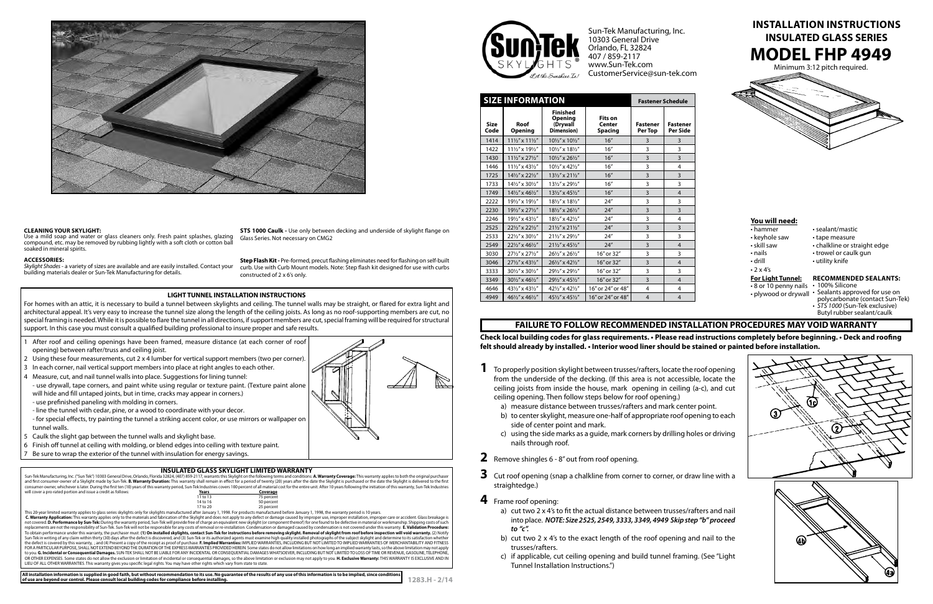Minimum 3:12 pitch required.







**1283.H - 2/14**

# **MODEL FHP 4949 Install ation Instruc tions INSULATED GLASS SERIES**

**Check local building codes for glass requirements. • Please read instructions completely before beginning. • Deck and roofing felt should already by installed. • Interior wood liner should be stained or painted before installation.**

| <b>SIZE INFORMATION</b> |                                       |                                                      |                                                   | <b>Fastener Schedule</b>   |                             |
|-------------------------|---------------------------------------|------------------------------------------------------|---------------------------------------------------|----------------------------|-----------------------------|
| <b>Size</b><br>Code     | Roof<br><b>Opening</b>                | <b>Finished</b><br>Opening<br>(Drywall<br>Dimension) | <b>Fits on</b><br><b>Center</b><br><b>Spacing</b> | <b>Fastener</b><br>Per Top | <b>Fastener</b><br>Per Side |
| 1414                    | $11\frac{1}{2}$ " x $11\frac{1}{2}$ " | 101/2" x 101/2"                                      | 16"                                               | 3                          | 3                           |
| 1422                    | 111/2" x 191/2"                       | 101/2" x 181/2"                                      | 16''                                              | 3                          | 3                           |
| 1430                    | 111/2" x 271/2"                       | 101/2" x 261/2"                                      | 16"                                               | 3                          | 3                           |
| 1446                    | $11\frac{1}{2}$ x 43 $\frac{1}{2}$ "  | 101/2" x 421/2"                                      | 16"                                               | 3                          | 4                           |
| 1725                    | 141/2" x 221/2"                       | 131/2" x 211/2"                                      | 16"                                               | $\overline{3}$             | 3                           |
| 1733                    | 141/2" x 301/2"                       | 131/2" x 291/2"                                      | 16''                                              | 3                          | 3                           |
| 1749                    | 141/2" x 461/2"                       | 131/2" x 451/2"                                      | 16"                                               | $\overline{3}$             | $\overline{4}$              |
| 2222                    | 191/2" x 191/2"                       | 181/2" x 181/2"                                      | 24''                                              | 3                          | 3                           |
| 2230                    | 191/2" x 271/2"                       | 181/2" x 261/2"                                      | 24''                                              | 3                          | 3                           |
| 2246                    | 191/2" x 431/2"                       | 181/2" x 421/2"                                      | 24''                                              | 3                          | 4                           |
| 2525                    | 221/2" x 221/2"                       | 211/2" x 211/2"                                      | 24''                                              | 3                          | 3                           |
| 2533                    | 221/2" x 301/2"                       | 211/2" x 291/2"                                      | 24''                                              | 3                          | 3                           |
| 2549                    | 221/2" x 461/2"                       | 211/2" x 451/2"                                      | 24''                                              | 3                          | $\overline{4}$              |
| 3030                    | 271/2" x 271/2"                       | 261/2" x 261/2"                                      | 16" or 32"                                        | 3                          | 3                           |
| 3046                    | 271/2" x 431/2"                       | 261/2" x 421/2"                                      | 16" or 32"                                        | 3                          | $\overline{4}$              |
| 3333                    | 301/2" x 301/2"                       | 291/2" x 291/2"                                      | 16" or 32"                                        | 3                          | 3                           |
| 3349                    | 301/2" x 461/2"                       | 291/2" x 451/2"                                      | 16" or 32"                                        | $\overline{3}$             | $\overline{4}$              |
| 4646                    | 431/2" x 431/2"                       | 421/2" x 421/2"                                      | 16" or 24" or 48"                                 | 4                          | 4                           |
| 4949                    | 461/2" x 461/2"                       | 451/2" x 451/2"                                      | 16" or 24" or 48"                                 | $\overline{4}$             | 4                           |

not covered. **D. Performance by Sun-Tek:** During the warranty period, Sun-Tek will provide free of charge an equivalent new skylight (or component thereof) for one found to be defective in material or workmanship. Shipping To obtain performance under this warranty, the purchaser must: (**1) On installed skylights, contact Sun-Tek for instructions before removing skylight. Removal of skylight from roof before inspection will void warranty. (2)** to you. **G. Incidental or Consequential Damages.** SUN-TEK SHALL NOT BE LIABLE FOR ANY INCIDENTAL OR CONSEQUENTIAL DAMAGES WHATSOEVER, INCLUDING BUT NOT LIMITED TO LOSS OF TIME OR REVENUE, GASOLINE, TELEPHONE, OR OTHER EXPENSES. Some states do not allow the exclusion or limitation of incidental or consequential damages, so the above limitation or exclusion may not apply to you. H. Exclusive Warranty: THIS WARRANTY IS EXCLUSIVE A LIEU OF ALL OTHER WARRANTIES. This warranty gives you specific legal rights. You may have other rights which vary from state to state.



- 8 or 10 penny nails 100% Silicone
- plywood or drywall Sealants approved for use on polycarbonate (contact Sun-Tek)
	- STS 1000 (Sun-Tek exclusive) Butyl rubber sealant/caulk



**STS 1000 Caulk -** Use only between decking and underside of skylight flange on Glass Series. Not necessary on CMG2

Skylight Shades - a variety of sizes are available and are easily installed. Contact your building materials dealer or Sun-Tek Manufacturing for details.

- 1 After roof and ceiling openings have been framed, measure distance (at each corner of roof opening) between rafter/truss and ceiling joist.
- 2 Using these four measurements, cut 2 x 4 lumber for vertical support members (two per corner).
- 3 In each corner, nail vertical support members into place at right angles to each other.
- 4 Measure, cut, and nail tunnel walls into place. Suggestions for lining tunnel:
- use drywall, tape corners, and paint white using regular or texture paint. (Texture paint alone will hide and fill untaped joints, but in time, cracks may appear in corners.)
- use prefinished paneling with molding in corners.
- line the tunnel with cedar, pine, or a wood to coordinate with your decor.
- for special effects, try painting the tunnel a striking accent color, or use mirrors or wallpaper on tunnel walls.
- 5 Caulk the slight gap between the tunnel walls and skylight base.
- 6 Finish off tunnel at ceiling with molding, or blend edges into ceiling with texture paint.
- Be sure to wrap the exterior of the tunnel with insulation for energy savings.

### **INSULATED GLASS SKYLIGHT LIMITED WARRANTY**

Sun-Tek Manufacturing, Inc. ("Sun Tek") 10303 General Drive, Orlando, Florida 32824, (407) 859-2117, warrants this Skylight on the following terms and conditions: **A. Warranty Coverage:** This warranty applies to both the o consumer-owner, whichever is later. During the first ten (10) years of this warranty period, Sun-Tek Industries covers 100 percent of all material cost for the entire unit. After 10 years following the initiation of this w will cover a pro-rated portion and issue a credit as follows: **Years Years Years Coverage**<br>11 to 13 75 percent 11 to 13 75 percent<br>14 to 16 50 percent 14 to 16 50 percent<br>17 to 20 25 percent 25 percent 25 percent 25 percent 25 percent 25 percent 25 percent 25 percent 25 percent 25 percent 25 percent<br>1998, This warranty period is 10 years. This warranty applies only to the materials and fabrication of the Skyli

Sun-Tek Manufacturing, Inc. 10303 General Drive Orlando, FL 32824 407 / 859-2117 www.Sun-Tek.com CustomerService@sun-tek.com



- 
- 
- 
- 
- 
- $\cdot$  2 x 4's
- 

### **For Light Tunnel:**

- 
- 
- hammer sealant/mastic
- keyhole saw tape measure
- skill saw chalkline or straight edge
- nails trowel or caulk gun
- drill utility knife

## **Recommended Sealants:**

# **FAILURE TO FOLLOW RECOMMENDED INSTALLAT ION PROCEDURES MAY VOID WARRANT Y**

- **1** To properly position skylight between trusses/rafters, locate the roof opening from the underside of the decking. (If this area is not accessible, locate the ceiling joists from inside the house, mark opening in ceiling (a-c), and cut ceiling opening. Then follow steps below for roof opening.)
	- a) measure distance between trusses/rafters and mark center point.
	- b) to center skylight, measure one-half of appropriate roof opening to each side of center point and mark.
	- c) using the side marks as a guide, mark corners by drilling holes or driving nails through roof.
- **2** Remove shingles 6 8" out from roof opening.
- **3** Cut roof opening (snap a chalkline from corner to corner, or draw line with a straightedge.)
- **4** Frame roof opening:
	- a) cut two 2 x 4's to fit the actual distance between trusses/rafters and nail into place. *NOTE: Size 2525, 2549, 3333, 3349, 4949 Skip step "b" proceed to "c".*
	- b) cut two 2 x 4's to the exact length of the roof opening and nail to the trusses/rafters.
	- c) if applicable, cut ceiling opening and build tunnel framing. (See "Light Tunnel Installation Instructions.")





#### **Cleaning Your Skyligh t:**

Use a mild soap and water or glass cleaners only. Fresh paint splashes, glazing compound, etc. may be removed by rubbing lightly with a soft cloth or cotton ba soaked in mineral spirits.

#### **Acc ess ories:**

**Step Flash Kit -** Pre-formed, precut flashing eliminates need for flashing on self-built curb. Use with Curb Mount models. Note: Step flash kit designed for use with curbs constructed of 2 x 6's only.

### **LIGHT TUNNEL INSTALLATION INSTRUCTIONS**

**All installation information is supplied in good faith, but without recommendation to its use. No guarantee of the results of any use of this information is to be implied, since conditions of use are beyond our control. Please consult local building codes for compliance before installing.**



For homes with an attic, it is necessary to build a tunnel between skylights and ceiling. The tunnel walls may be straight, or flared for extra light and architectural appeal. It's very easy to increase the tunnel size along the length of the ceiling joists. As long as no roof-supporting members are cut, no special framing is needed. While it is possible to flare the tunnel in all directions, if support members are cut, special framing will be required for structural support. In this case you must consult a qualified building professional to insure proper and safe results.